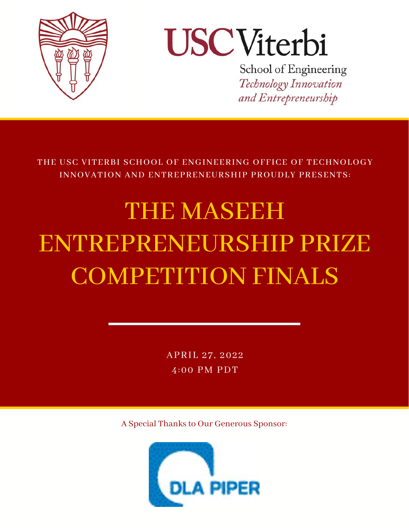

# **USCViterbi**

School of Engineering Technology Innovation and Entrepreneurship

THE USC VITERBI SCHOOL OF ENGINEERING OFFICE OF TECHNOLOGY INNOVATION AND ENTREPRENEURSHIP PROUDLY PRESENTS:

## THE MASEEH ENTREPRENEURSHIP PRIZE COMPETITION FINALS

APRIL 27, 2022  $\overline{4:00}$  PM PDT

A Special Thanks to Our Generous Sponsor:

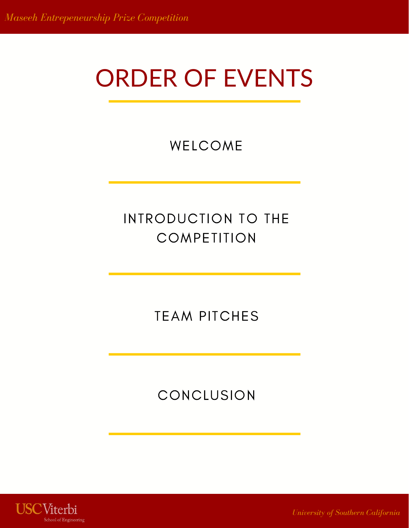## ORDER OF EVENTS

WELCOME

#### INTRODUCTION TO THE **COMPETITION**

TEAM PITCHES

#### CONCLUSION



*University of Southern California*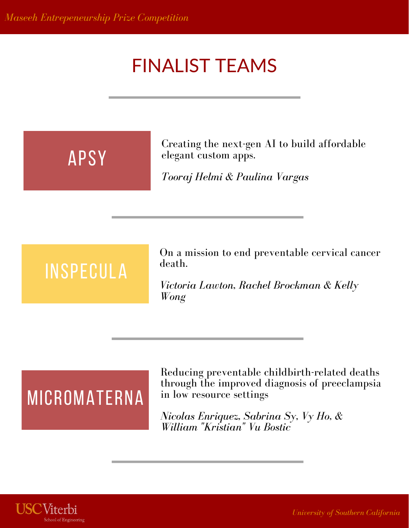### FINALIST TEAMS

## APSY

Creating the next-gen AI to build affordable elegant custom apps.

*Tooraj Helmi & Paulina Vargas*

## INSPECULA

On a mission to end preventable cervical cancer death.

*Victoria Lawton, Rachel Brockman & Kelly Wong*

### **MICROMATERNA**

Reducing preventable childbirth-related deaths through the improved diagnosis of preeclampsia in low resource settings

*Nicolas Enriquez, Sabrina Sy, Vy Ho, & William "Kristian" Vu Bostic*

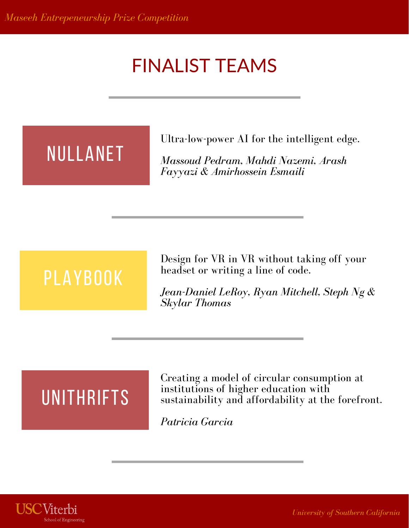### FINALIST TEAMS

## NULLANET

Ultra-low-power AI for the intelligent edge.

*Massoud Pedram, Mahdi Nazemi, Arash Fayyazi & Amirhossein Esmaili*

## PLAYBOOK

Design for VR in VR without taking off your headset or writing a line of code.

*Jean-Daniel LeRoy, Ryan Mitchell, Steph Ng & Skylar Thomas*

## **UNITHRIFTS**

Creating a model of circular consumption at institutions of higher education with sustainability and affordability at the forefront.

*Patricia Garcia*



*University of Southern California*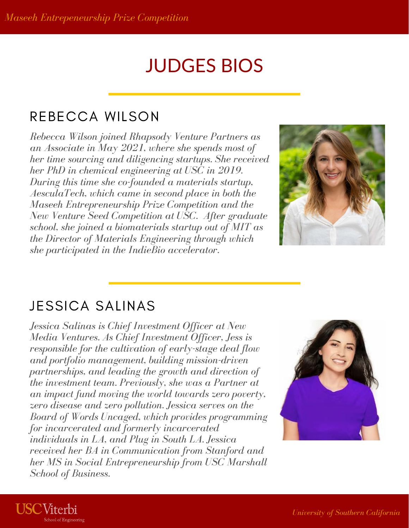### JUDGES BIOS

#### REBECCA WILSON

*Rebecca Wilson joined Rhapsody Venture Partners as an Associate in May 2021, where she spends most of her time sourcing and diligencing startups. She received her PhD in chemical engineering at USC in 2019. During this time she co-founded a materials startup, AesculaTech, which came in second place in both the Maseeh Entrepreneurship Prize Competition and the New Venture Seed Competition at USC. After graduate school, she joined a biomaterials startup out of MIT as the Director of Materials Engineering through which she participated in the IndieBio accelerator.*



#### JESSICA SALINAS

**USC**Viterbi

ool of Engineering

*Jessica Salinas is Chief Investment Officer at New Media Ventures. As Chief Investment Officer, Jess is responsible for the cultivation of early-stage deal flow and portfolio management, building mission-driven partnerships, and leading the growth and direction of the investment team. Previously, she was a Partner at an impact fund moving the world towards zero poverty, zero disease and zero pollution. Jessica serves on the Board of Words Uncaged, which provides programming for incarcerated and formerly incarcerated individuals in LA, and Plug in South LA. Jessica received her BA in Communication from Stanford and her MS in Social Entrepreneurship from USC Marshall School of Business.*

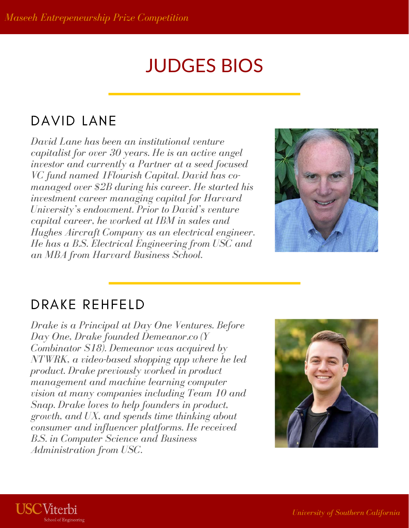#### JUDGES BIOS

#### DAVID LANE

*David Lane has been an institutional venture capitalist for over 30 years. He is an active angel investor and currently a Partner at a seed focused VC fund named 1Flourish Capital. David has comanaged over \$2B during his career. He started his investment career managing capital for Harvard University's endowment. Prior to David's venture capital career, he worked at IBM in sales and Hughes Aircraft Company as an electrical engineer. He has a B.S. Electrical Engineering from USC and an MBA from Harvard Business School.*



#### DRAKE REHFELD

*Drake is a Principal at Day One Ventures. Before Day One, Drake founded Demeanor.co (Y Combinator S18). Demeanor was acquired by NTWRK, a video-based shopping app where he led product. Drake previously worked in product management and machine learning computer vision at many companies including Team 10 and Snap. Drake loves to help founders in product, growth, and UX, and spends time thinking about consumer and influencer platforms. He received B.S. in Computer Science and Business Administration from USC.*



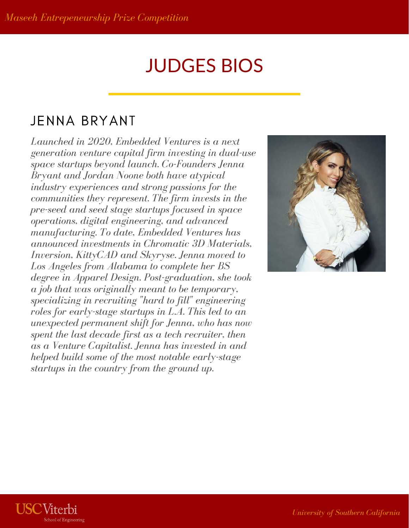### JUDGES BIOS

#### JENNA BRYANT

*Launched in 2020, Embedded Ventures is a next generation venture capital firm investing in dual-use space startups beyond launch. Co-Founders Jenna Bryant and Jordan Noone both have atypical industry experiences and strong passions for the communities they represent. The firm invests in the pre-seed and seed stage startups focused in space operations, digital engineering, and advanced manufacturing. To date, Embedded Ventures has announced investments in Chromatic 3D Materials, Inversion, KittyCAD and Skyryse. Jenna moved to Los Angeles from Alabama to complete her BS degree in Apparel Design. Post-graduation, she took a job that was originally meant to be temporary, specializing in recruiting "hard to fill" engineering roles for early-stage startups in L.A. This led to an unexpected permanent shift for Jenna, who has now spent the last decade first as a tech recruiter, then as a Venture Capitalist. Jenna has invested in and helped build some of the most notable early-stage startups in the country from the ground up.*